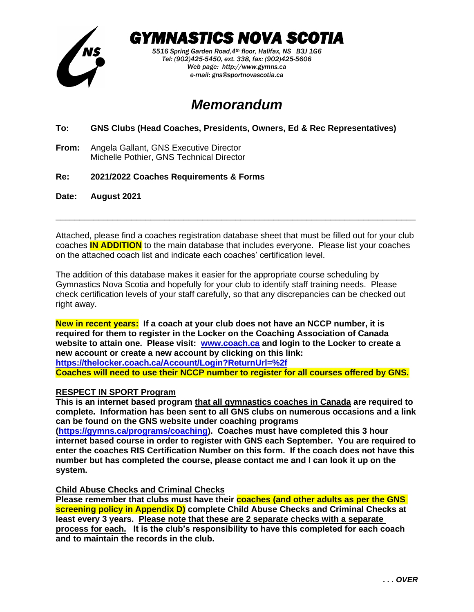

 *GYMNASTICS NOVA SCOTIA* 

*5516 Spring Garden Road,4th floor, Halifax, NS B3J 1G6 Tel: (902)425-5450, ext. 338, fax: (902)425-5606 Web page: http://www.gymns.ca e-mail: gns@sportnovascotia.ca*

# *Memorandum*

# **To: GNS Clubs (Head Coaches, Presidents, Owners, Ed & Rec Representatives)**

**From:** Angela Gallant, GNS Executive Director Michelle Pothier, GNS Technical Director

# **Re: 2021/2022 Coaches Requirements & Forms**

## **Date: August 2021**

Attached, please find a coaches registration database sheet that must be filled out for your club coaches **IN ADDITION** to the main database that includes everyone. Please list your coaches on the attached coach list and indicate each coaches' certification level.

\_\_\_\_\_\_\_\_\_\_\_\_\_\_\_\_\_\_\_\_\_\_\_\_\_\_\_\_\_\_\_\_\_\_\_\_\_\_\_\_\_\_\_\_\_\_\_\_\_\_\_\_\_\_\_\_\_\_\_\_\_\_\_\_\_\_\_\_\_\_\_\_\_\_\_\_

The addition of this database makes it easier for the appropriate course scheduling by Gymnastics Nova Scotia and hopefully for your club to identify staff training needs. Please check certification levels of your staff carefully, so that any discrepancies can be checked out right away.

**New in recent years: If a coach at your club does not have an NCCP number, it is required for them to register in the Locker on the Coaching Association of Canada website to attain one. Please visit: [www.coach.ca](http://www.coach.ca/) and login to the Locker to create a new account or create a new account by clicking on this link: <https://thelocker.coach.ca/Account/Login?ReturnUrl=%2f> Coaches will need to use their NCCP number to register for all courses offered by GNS.**

## **RESPECT IN SPORT Program**

**This is an internet based program that all gymnastics coaches in Canada are required to complete. Information has been sent to all GNS clubs on numerous occasions and a link can be found on the GNS website under coaching programs [\(https://gymns.ca/programs/coaching\)](https://gymns.ca/programs/coaching). Coaches must have completed this 3 hour internet based course in order to register with GNS each September. You are required to enter the coaches RIS Certification Number on this form. If the coach does not have this number but has completed the course, please contact me and I can look it up on the system.**

## **Child Abuse Checks and Criminal Checks**

**Please remember that clubs must have their coaches (and other adults as per the GNS screening policy in Appendix D) complete Child Abuse Checks and Criminal Checks at least every 3 years. Please note that these are 2 separate checks with a separate process for each. It is the club's responsibility to have this completed for each coach and to maintain the records in the club.**